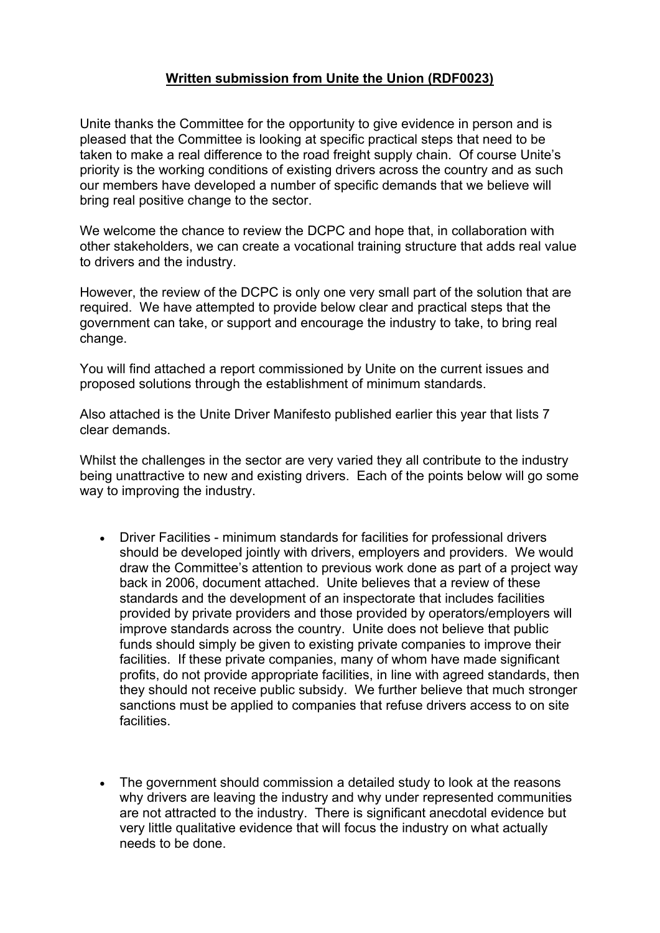## **Written submission from Unite the Union (RDF0023)**

Unite thanks the Committee for the opportunity to give evidence in person and is pleased that the Committee is looking at specific practical steps that need to be taken to make a real difference to the road freight supply chain. Of course Unite's priority is the working conditions of existing drivers across the country and as such our members have developed a number of specific demands that we believe will bring real positive change to the sector.

We welcome the chance to review the DCPC and hope that, in collaboration with other stakeholders, we can create a vocational training structure that adds real value to drivers and the industry.

However, the review of the DCPC is only one very small part of the solution that are required. We have attempted to provide below clear and practical steps that the government can take, or support and encourage the industry to take, to bring real change.

You will find attached a report commissioned by Unite on the current issues and proposed solutions through the establishment of minimum standards.

Also attached is the Unite Driver Manifesto published earlier this year that lists 7 clear demands.

Whilst the challenges in the sector are very varied they all contribute to the industry being unattractive to new and existing drivers. Each of the points below will go some way to improving the industry.

- Driver Facilities minimum standards for facilities for professional drivers should be developed jointly with drivers, employers and providers. We would draw the Committee's attention to previous work done as part of a project way back in 2006, document attached. Unite believes that a review of these standards and the development of an inspectorate that includes facilities provided by private providers and those provided by operators/employers will improve standards across the country. Unite does not believe that public funds should simply be given to existing private companies to improve their facilities. If these private companies, many of whom have made significant profits, do not provide appropriate facilities, in line with agreed standards, then they should not receive public subsidy. We further believe that much stronger sanctions must be applied to companies that refuse drivers access to on site facilities.
- The government should commission a detailed study to look at the reasons why drivers are leaving the industry and why under represented communities are not attracted to the industry. There is significant anecdotal evidence but very little qualitative evidence that will focus the industry on what actually needs to be done.